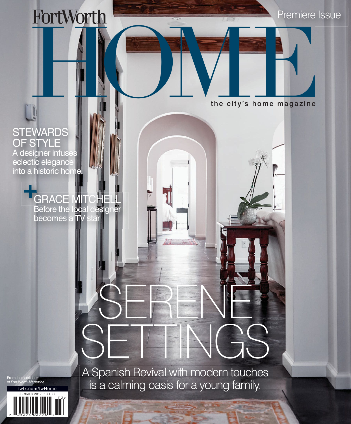HOME HOW THE CITY'S home magazine

Premiere Issue

the city's home magazine

## **STEWARDS** OF STYLE

A designer infuses eclectic elegance into a historic home.

> GRACE MITCHELL<br>Before the local designe Before the local des  $be \overline{ \mathrm{co} \mathrm{m} \mathrm{e} \mathrm{s} }$

> > SETTINGS A Spanish Revival with modern touches is a calming oasis for a young family.

SERENE

From the publisher of *Fort Worth Magazine*